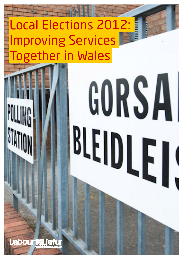# Local Elections 2012: Improving Services Together in Wales

**Lead Trial** 

# BLEIDLEI

**bour @Liaft**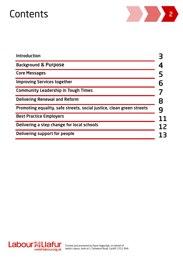

| <b>Introduction</b>                                                   |  |
|-----------------------------------------------------------------------|--|
| <b>Background &amp; Purpose</b>                                       |  |
| <b>Core Messages</b>                                                  |  |
| <b>Improving Services together</b>                                    |  |
| <b>Community Leadership in Tough Times</b>                            |  |
| <b>Delivering Renewal and Reform</b>                                  |  |
| Promoting equality, safe streets, social justice, clean green streets |  |
| <b>Best Practice Employers</b>                                        |  |
| Delivering a step change for local schools                            |  |
| Delivering support for people                                         |  |
|                                                                       |  |

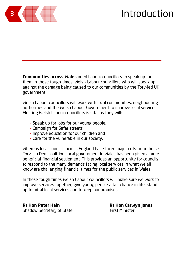

**Communities across Wales** need Labour councillors to speak up for them in these tough times. Welsh Labour councillors who will speak up against the damage being caused to our communities by the Tory-led UK government.

Welsh Labour councillors will work with local communities, neighbouring authorities and the Welsh Labour Government to improve local services. Electing Welsh Labour councillors is vital as they will:

- Speak up for jobs for our young people,
- Campaign for Safer streets,
- Improve education for our children and
- Care for the vulnerable in our society.

Whereas local councils across England have faced major cuts from the UK Tory-Lib Dem coalition, local government in Wales has been given a more beneficial financial settlement. This provides an opportunity for councils to respond to the many demands facing local services in what we all know are challenging financial times for the public services in Wales.

In these tough times Welsh Labour councillors will make sure we work to improve services together, give young people a fair chance in life, stand up for vital local services and to keep our promises.

**Rt Hon Peter Hain Rt Hon Carwyn Jones** Shadow Secretary of State First Minister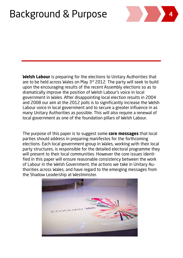### Background & Purpose <sup>4</sup>



**Welsh Labour** is preparing for the elections to Unitary Authorities that are to be held across Wales on May 3<sup>rd</sup> 2012. The party will seek to build upon the encouraging results of the recent Assembly elections so as to dramatically improve the position of Welsh Labour's voice in local government in Wales. After disappointing local election results in 2004 and 2008 our aim at the 2012 polls is to significantly increase the Welsh Labour voice in local government and to secure a greater influence in as many Unitary Authorities as possible. This will also require a renewal of local government as one of the foundation pillars of Welsh Labour.

The purpose of this paper is to suggest some **core messages** that local parties should address in preparing manifestos for the forthcoming elections. Each local government group in Wales, working with their local party structures, is responsible for the detailed electoral programme they will present to their local communities. However the core issues identified in this paper will ensure reasonable consistency between the work of Labour in the Welsh Government, the actions we take in Unitary Authorities across Wales, and have regard to the emerging messages from the Shadow Leadership at Westminster.

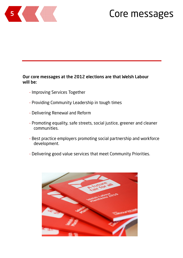

### **5 Core messages**

### Our core messages at the 2012 elections are that Welsh Labour will be:

- Improving Services Together
- Providing Community Leadership in tough times
- Delivering Renewal and Reform
- Promoting equality, safe streets, social justice, greener and cleaner communities.
- Best practice employers promoting social partnership and workforce development.
- Delivering good value services that meet Community Priorities.

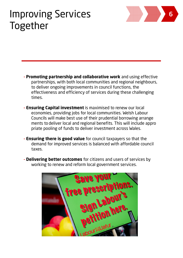### Improving Services Together



- **Promoting partnership and collaborative work** and using effective partnerships, with both local communities and regional neighbours, to deliver ongoing improvements in council functions, the effectiveness and efficiency of services during these challenging times.
- **Ensuring Capital investment** is maximised to renew our local economies, providing jobs for local communities. Welsh Labour Councils will make best use of their prudential borrowing arrange ments to deliver local and regional benefits. This will include appro priate pooling of funds to deliver investment across Wales.
- **Ensuring there is good value** for council taxpayers so that the demand for improved services is balanced with affordable council taxes.
- **Delivering better outcomes** for citizens and users of services by working to renew and reform local government services.

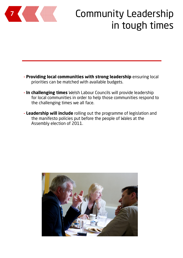

## Community Leadership in tough times

- **Providing local communities with strong leadership** ensuring local priorities can be matched with available budgets.
- **In challenging times** Welsh Labour Councils will provide leadership for local communities in order to help those communities respond to the challenging times we all face.
- **Leadership will include** rolling out the programme of legislation and the manifesto policies put before the people of Wales at the Assembly election of 2011.

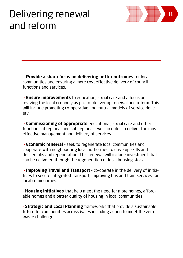### Delivering renewal and reform

 **- Provide a sharp focus on delivering better outcomes** for local communities and ensuring a more cost effective delivery of council functions and services.

8

 **- Ensure improvements** to education, social care and a focus on reviving the local economy as part of delivering renewal and reform. This will include promoting co-operative and mutual models of service delivery.

 **- Commissioning of appropriate** educational, social care and other functions at regional and sub regional levels in order to deliver the most effective management and delivery of services.

 **- Economic renewal** – seek to regenerate local communities and cooperate with neighbouring local authorities to drive up skills and deliver jobs and regeneration. This renewal will include investment that can be delivered through the regeneration of local housing stock.

 **- Improving Travel and Transport** - co-operate in the delivery of initiatives to secure integrated transport, improving bus and train services for local communities.

- **Housing initiatives** that help meet the need for more homes, affordable homes and a better quality of housing in local communities.

- **Strategic and Local Planning** frameworks that provide a sustainable future for communities across Wales including action to meet the zero waste challenge.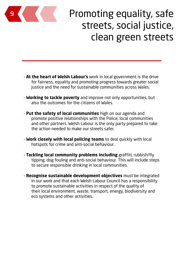

## Promoting equality, safe streets, social justice, clean green streets

- **At the heart of Welsh Labour's** work in local government is the drive for fairness, equality and promoting progress towards greater social justice and the need for sustainable communities across Wales.
- **Working to tackle poverty** and improve not only opportunities, but also the outcomes for the citizens of Wales.
- **Put the safety of local communities** high on our agenda and promote positive relationships with the Police, local communities and other partners. Welsh Labour is the only party prepared to take the action needed to make our streets safer.
- **Work closely with local policing teams** to deal quickly with local hotspots for crime and anti-social behaviour.
- **Tackling local community problems including** graffiti, rubbish/fly tipping, dog fouling and anti-social behaviour. This will include steps to secure responsible drinking in local communities.
- **Recognise sustainable development objectives** must be integrated in our work and that each Welsh Labour Council has a responsibility to promote sustainable activities in respect of the quality of their local environment, waste, transport, energy, biodiversity and eco systems and other activities.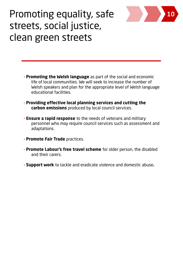

### Promoting equality, safe streets, social justice, clean green streets

- **Promoting the Welsh language** as part of the social and economic life of local communities. We will seek to increase the number of Welsh speakers and plan for the appropriate level of Welsh language educational facilities.
- **Providing effective local planning services and cutting the carbon emissions** produced by local council services.
- **Ensure a rapid response** to the needs of veterans and military personnel who may require council services such as assessment and adaptations.
- **Promote Fair Trade** practices.
- **Promote Labour's free travel scheme** for older person, the disabled and their carers.
- **Support work** to tackle and eradicate violence and domestic abuse**.**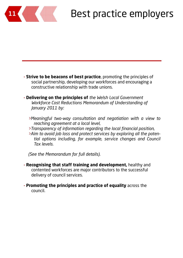

# Best practice employers

- **Strive to be beacons of best practice**, promoting the principles of social partnership, developing our workforces and encouraging a constructive relationship with trade unions.
- **Delivering on the principles of** *the Welsh Local Government Workforce Cost Reductions Memorandum of Understanding of January 2011 by:*
	- *>Meaningful two-way consultation and negotiation with a view to reaching agreement at a local level, >Transparency of information regarding the local financial position,*
	- *>Aim to avoid job loss and protect services by exploring all the potential options including, for example, service changes and Council Tax levels.*

*(See the Memorandum for full details).* 

- **Recognising that staff training and development,** healthy and contented workforces are major contributors to the successful delivery of council services.
- **Promoting the principles and practice of equality** across the council.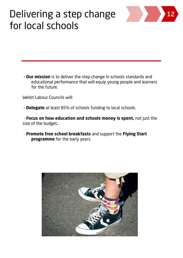### Delivering a step change for local schools



 **- Our mission** is to deliver the step change in schools standards and educational performance that will equip young people and learners for the future.

Welsh Labour Councils will:

 **- Delegate** at least 85% of schools funding to local schools.

 - **Focus on how education and schools money is spent,** not just the size of the budget**.**

 - **Promote free school breakfasts** and support the **Flying Start programme** for the early years.

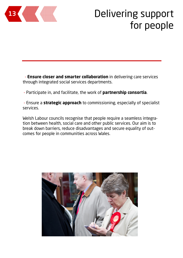

### Delivering support for people

 - **Ensure closer and smarter collaboration** in delivering care services through integrated social services departments.

- Participate in, and facilitate, the work of **partnership consortia**.

 - Ensure a **strategic approach** to commissioning, especially of specialist services.

Welsh Labour councils recognise that people require a seamless integration between health, social care and other public services. Our aim is to break down barriers, reduce disadvantages and secure equality of outcomes for people in communities across Wales.